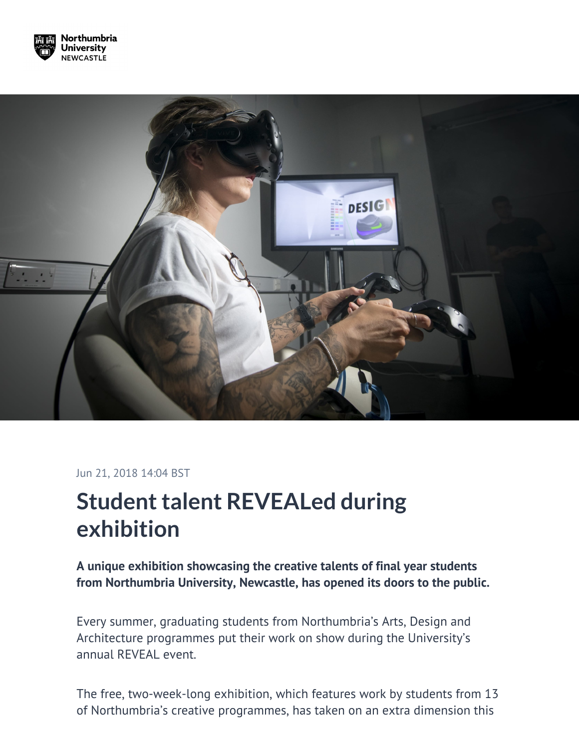



## Jun 21, 2018 14:04 BST

## **Student talent REVEALed during exhibition**

**A unique exhibition showcasing the creative talents of final year students from Northumbria University, Newcastle, has opened its doors to the public.**

Every summer, graduating students from Northumbria's Arts, Design and Architecture programmes put their work on show during the University's annual REVEAL event.

The free, two-week-long exhibition, which features work by students from 13 of Northumbria's creative programmes, has taken on an extra dimension this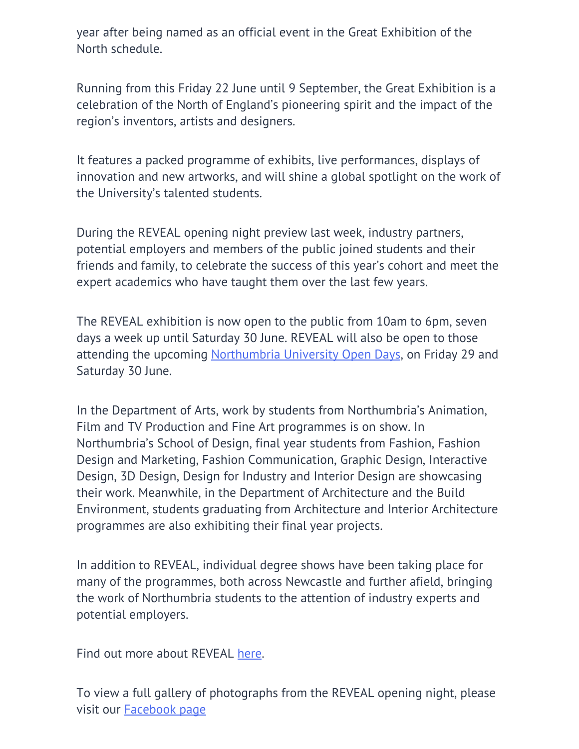year after being named as an official event in the Great Exhibition of the North schedule.

Running from this Friday 22 June until 9 September, the Great Exhibition is a celebration of the North of England's pioneering spirit and the impact of the region's inventors, artists and designers.

It features a packed programme of exhibits, live performances, displays of innovation and new artworks, and will shine a global spotlight on the work of the University's talented students.

During the REVEAL opening night preview last week, industry partners, potential employers and members of the public joined students and their friends and family, to celebrate the success of this year's cohort and meet the expert academics who have taught them over the last few years.

The REVEAL exhibition is now open to the public from 10am to 6pm, seven days a week up until Saturday 30 June. REVEAL will also be open to those attending the upcoming [Northumbria University Open Days,](https://www.northumbria.ac.uk/study-at-northumbria/coming-to-northumbria/northumbria-undergraduate-open-days/) on Friday 29 and Saturday 30 June.

In the Department of Arts, work by students from Northumbria's Animation, Film and TV Production and Fine Art programmes is on show. In Northumbria's School of Design, final year students from Fashion, Fashion Design and Marketing, Fashion Communication, Graphic Design, Interactive Design, 3D Design, Design for Industry and Interior Design are showcasing their work. Meanwhile, in the Department of Architecture and the Build Environment, students graduating from Architecture and Interior Architecture programmes are also exhibiting their final year projects.

In addition to REVEAL, individual degree shows have been taking place for many of the programmes, both across Newcastle and further afield, bringing the work of Northumbria students to the attention of industry experts and potential employers.

Find out more about REVEAL [here.](https://www.northumbria.ac.uk/about-us/news-events/events/2018/06/reveal2018/)

To view a full gallery of photographs from the REVEAL opening night, please visit our [Facebook page](https://www.facebook.com/pg/NorthumbriaUni/photos/?tab=album&album_id=10160703028290454)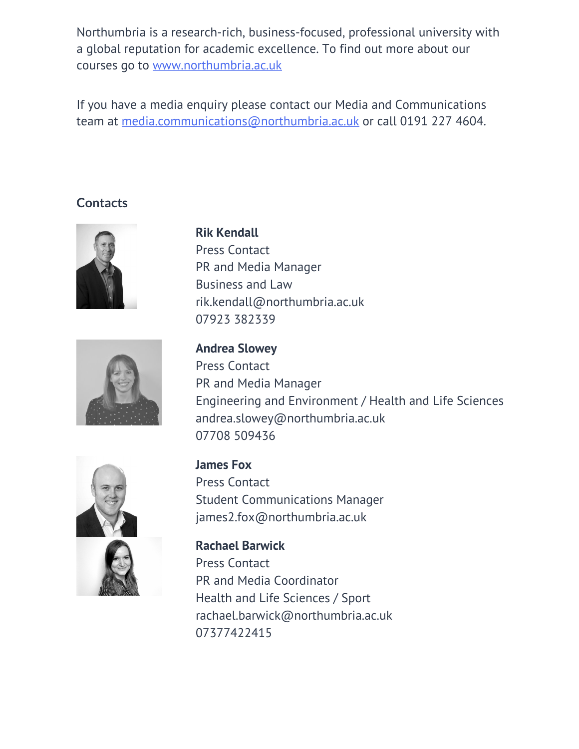Northumbria is a research-rich, business-focused, professional university with a global reputation for academic excellence. To find out more about our courses go to [www.northumbria.ac.uk](http://www.northumbria.ac.uk/)

If you have a media enquiry please contact our Media and Communications team at [media.communications@northumbria.ac.uk](mailto:media.communications@northumbria.ac.uk) or call 0191 227 4604.

## **Contacts**



**Rik Kendall** Press Contact PR and Media Manager Business and Law [rik.kendall@northumbria.ac.uk](mailto:rik.kendall@northumbria.ac.uk) [07923 382339](tel:07923 382339)



**Andrea Slowey** Press Contact PR and Media Manager Engineering and Environment / Health and Life Sciences [andrea.slowey@northumbria.ac.uk](mailto:andrea.slowey@northumbria.ac.uk) [07708 509436](tel:07708 509436)



**James Fox** Press Contact Student Communications Manager [james2.fox@northumbria.ac.uk](mailto:james2.fox@northumbria.ac.uk)

**Rachael Barwick** Press Contact PR and Media Coordinator Health and Life Sciences / Sport [rachael.barwick@northumbria.ac.uk](mailto:rachael.barwick@northumbria.ac.uk )  [07377422415](tel:07377422415)